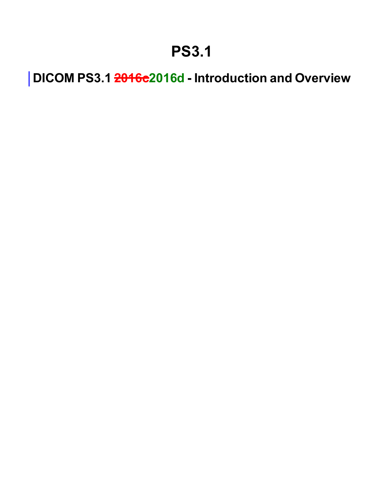# **PS3.1**

**DICOM PS3.1 2016c2016d - Introduction and Overview**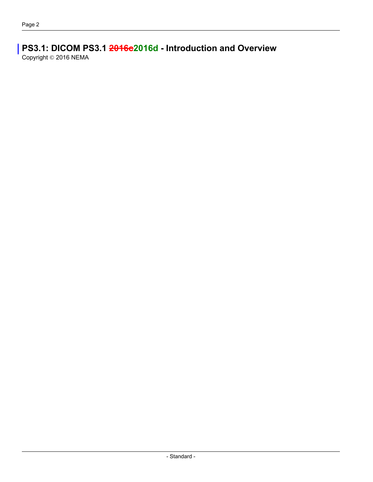### **PS3.1: DICOM PS3.1 2016c2016d - Introduction and Overview**

Copyright © 2016 NEMA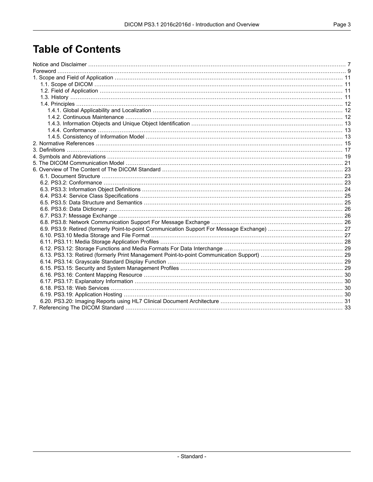### **Table of Contents**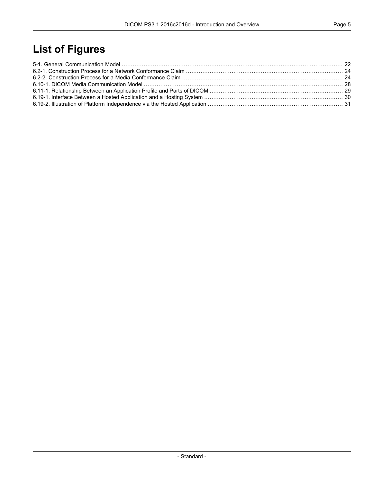## **List of Figures**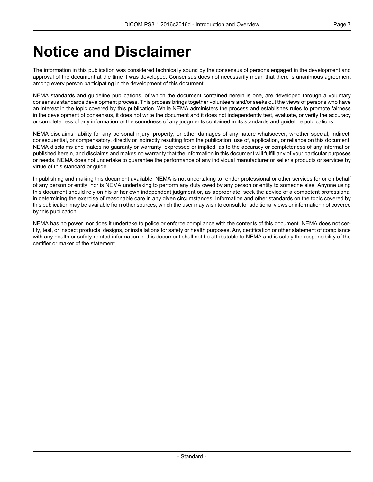# <span id="page-6-0"></span>**Notice and Disclaimer**

The information in this publication was considered technically sound by the consensus of persons engaged in the development and approval of the document at the time it was developed. Consensus does not necessarily mean that there is unanimous agreement among every person participating in the development of this document.

NEMA standards and guideline publications, of which the document contained herein is one, are developed through a voluntary consensus standards development process. This process brings together volunteers and/or seeks out the views of persons who have an interest in the topic covered by this publication. While NEMA administers the process and establishes rules to promote fairness in the development of consensus, it does not write the document and it does not independently test, evaluate, or verify the accuracy or completeness of any information or the soundness of any judgments contained in its standards and guideline publications.

NEMA disclaims liability for any personal injury, property, or other damages of any nature whatsoever, whether special, indirect, consequential, or compensatory, directly or indirectly resulting from the publication, use of, application, or reliance on this document. NEMA disclaims and makes no guaranty or warranty, expressed or implied, as to the accuracy or completeness of any information published herein, and disclaims and makes no warranty that the information in this document will fulfill any of your particular purposes or needs. NEMA does not undertake to guarantee the performance of any individual manufacturer or seller's products or services by virtue of this standard or guide.

In publishing and making this document available, NEMA is not undertaking to render professional or other services for or on behalf of any person or entity, nor is NEMA undertaking to perform any duty owed by any person or entity to someone else. Anyone using this document should rely on his or her own independent judgment or, as appropriate, seek the advice of a competent professional in determining the exercise of reasonable care in any given circumstances. Information and other standards on the topic covered by this publication may be available from other sources, which the user may wish to consult for additional views or information not covered by this publication.

NEMA has no power, nor does it undertake to police or enforce compliance with the contents of this document. NEMA does not certify, test, or inspect products, designs, or installations for safety or health purposes. Any certification or other statement of compliance with any health or safety-related information in this document shall not be attributable to NEMA and is solely the responsibility of the certifier or maker of the statement.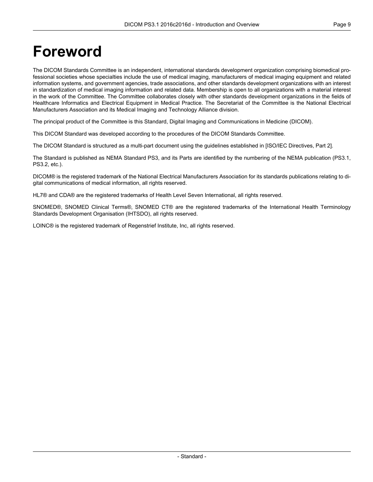## <span id="page-8-0"></span>**Foreword**

The DICOM Standards Committee is an independent, international standards development organization comprising biomedical professional societies whose specialties include the use of medical imaging, manufacturers of medical imaging equipment and related information systems, and government agencies, trade associations, and other standards development organizations with an interest in standardization of medical imaging information and related data. Membership is open to all organizations with a material interest in the work of the Committee. The Committee collaborates closely with other standards development organizations in the fields of Healthcare Informatics and Electrical Equipment in Medical Practice. The Secretariat of the Committee is the National Electrical Manufacturers Association and its Medical Imaging and Technology Alliance division.

The principal product of the Committee is this Standard, Digital Imaging and Communications in Medicine (DICOM).

This DICOM Standard was developed according to the procedures of the DICOM Standards Committee.

The DICOM Standard is structured as a multi-part document using the guidelines established in [ISO/IEC [Directives,](#page-14-1) Part 2].

The Standard is published as NEMA Standard PS3, and its Parts are identified by the numbering of the NEMA publication (PS3.1, PS3.2, etc.).

DICOM® is the registered trademark of the National Electrical Manufacturers Association for its standards publications relating to digital communications of medical information, all rights reserved.

HL7® and CDA® are the registered trademarks of Health Level Seven International, all rights reserved.

SNOMED®, SNOMED Clinical Terms®, SNOMED CT® are the registered trademarks of the International Health Terminology Standards Development Organisation (IHTSDO), all rights reserved.

LOINC® is the registered trademark of Regenstrief Institute, Inc, all rights reserved.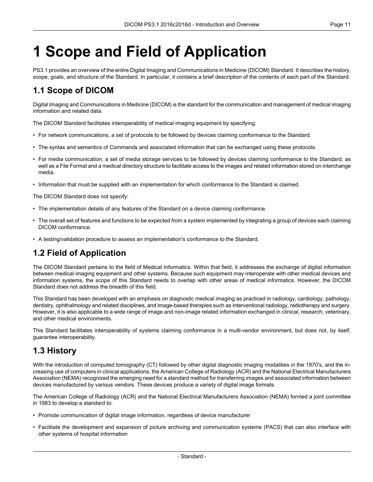# <span id="page-10-0"></span>**1 Scope and Field of Application**

<span id="page-10-1"></span>PS3.1 provides an overview of the entire Digital Imaging and Communications in Medicine (DICOM) Standard. It describes the history, scope, goals, and structure of the Standard. In particular, it contains a brief description of the contents of each part of the Standard.

### **1.1 Scope of DICOM**

Digital Imaging and Communications in Medicine (DICOM) is the standard for the communication and management of medical imaging information and related data.

The DICOM Standard facilitates interoperability of medical imaging equipment by specifying:

- For network communications, a set of protocols to be followed by devices claiming conformance to the Standard.
- The syntax and semantics of Commands and associated information that can be exchanged using these protocols.
- For media communication, a set of media storage services to be followed by devices claiming conformance to the Standard, as well as a File Format and a medical directory structure to facilitate access to the images and related information stored on interchange media.
- Information that must be supplied with an implementation for which conformance to the Standard is claimed.

The DICOM Standard does not specify:

- The implementation details of any features of the Standard on a device claiming conformance.
- <span id="page-10-2"></span>• The overall set of features and functions to be expected from a system implemented by integrating a group of devices each claiming DICOM conformance.
- A testing/validation procedure to assess an implementation's conformance to the Standard.

### **1.2 Field of Application**

The DICOM Standard pertains to the field of Medical Informatics. Within that field, it addresses the exchange of digital information between medical imaging equipment and other systems. Because such equipment may interoperate with other medical devices and information systems, the scope of this Standard needs to overlap with other areas of medical informatics. However, the DICOM Standard does not address the breadth of this field.

<span id="page-10-3"></span>This Standard has been developed with an emphasis on diagnostic medical imaging as practiced in radiology, cardiology, pathology, dentistry, ophthalmology and related disciplines, and image-based therapies such as interventional radiology, radiotherapy and surgery. However, it is also applicable to a wide range of image and non-image related information exchanged in clinical, research, veterinary, and other medical environments.

This Standard facilitates interoperability of systems claiming conformance in a multi-vendor environment, but does not, by itself, guarantee interoperability.

### **1.3 History**

With the introduction of computed tomography (CT) followed by other digital diagnostic imaging modalities in the 1970's, and the increasing use of computers in clinical applications, the American College of Radiology (ACR) and the National Electrical Manufacturers Association (NEMA) recognized the emerging need for a standard method for transferring images and associated information between devices manufactured by various vendors. These devices produce a variety of digital image formats.

The American College of Radiology (ACR) and the National Electrical Manufacturers Association (NEMA) formed a joint committee in 1983 to develop a standard to:

- Promote communication of digital image information, regardless of device manufacturer
- Facilitate the development and expansion of picture archiving and communication systems (PACS) that can also interface with other systems of hospital information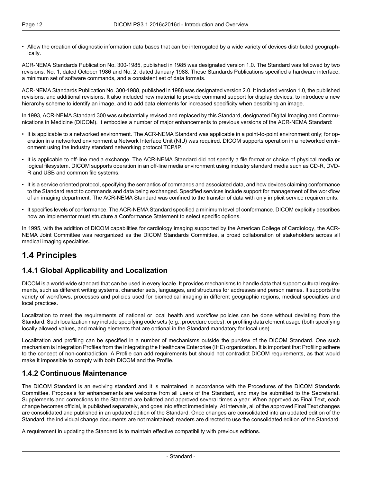• Allow the creation of diagnostic information data bases that can be interrogated by a wide variety of devices distributed geographically.

ACR-NEMA Standards Publication No. 300-1985, published in 1985 was designated version 1.0. The Standard was followed by two revisions: No. 1, dated October 1986 and No. 2, dated January 1988. These Standards Publications specified a hardware interface, a minimum set of software commands, and a consistent set of data formats.

ACR-NEMA Standards Publication No. 300-1988, published in 1988 was designated version 2.0. It included version 1.0, the published revisions, and additional revisions. It also included new material to provide command support for display devices, to introduce a new hierarchy scheme to identify an image, and to add data elements for increased specificity when describing an image.

In 1993, ACR-NEMA Standard 300 was substantially revised and replaced by this Standard, designated Digital Imaging and Communications in Medicine (DICOM). It embodies a number of major enhancements to previous versions of the ACR-NEMA Standard:

- It is applicable to a networked environment. The ACR-NEMA Standard was applicable in a point-to-point environment only; for operation in a networked environment a Network Interface Unit (NIU) was required. DICOM supports operation in a networked environment using the industry standard networking protocol TCP/IP.
- It is applicable to off-line media exchange. The ACR-NEMA Standard did not specify a file format or choice of physical media or logical filesystem. DICOM supports operation in an off-line media environment using industry standard media such as CD-R, DVD-R and USB and common file systems.
- It is a service oriented protocol, specifying the semantics of commands and associated data, and how devices claiming conformance to the Standard react to commands and data being exchanged. Specified services include support for management of the workflow of an imaging department. The ACR-NEMA Standard was confined to the transfer of data with only implicit service requirements.
- It specifies levels of conformance. The ACR-NEMA Standard specified a minimum level of conformance. DICOM explicitly describes how an implementor must structure a Conformance Statement to select specific options.

<span id="page-11-1"></span><span id="page-11-0"></span>In 1995, with the addition of DICOM capabilities for cardiology imaging supported by the American College of Cardiology, the ACR-NEMA Joint Committee was reorganized as the DICOM Standards Committee, a broad collaboration of stakeholders across all medical imaging specialties.

### **1.4 Principles**

#### **1.4.1 Global Applicability and Localization**

DICOM is a world-wide standard that can be used in every locale. It provides mechanisms to handle data that support cultural requirements, such as different writing systems, character sets, languages, and structures for addresses and person names. It supports the variety of workflows, processes and policies used for biomedical imaging in different geographic regions, medical specialties and local practices.

Localization to meet the requirements of national or local health and workflow policies can be done without deviating from the Standard. Such localization may include specifying code sets (e.g., procedure codes), or profiling data element usage (both specifying locally allowed values, and making elements that are optional in the Standard mandatory for local use).

<span id="page-11-2"></span>Localization and profiling can be specified in a number of mechanisms outside the purview of the DICOM Standard. One such mechanism is Integration Profiles from the Integrating the Healthcare Enterprise (IHE) organization. It is important that Profiling adhere to the concept of non-contradiction. A Profile can add requirements but should not contradict DICOM requirements, as that would make it impossible to comply with both DICOM and the Profile.

#### **1.4.2 Continuous Maintenance**

The DICOM Standard is an evolving standard and it is maintained in accordance with the Procedures of the DICOM Standards Committee. Proposals for enhancements are welcome from all users of the Standard, and may be submitted to the Secretariat. Supplements and corrections to the Standard are balloted and approved several times a year. When approved as Final Text, each change becomes official, is published separately, and goes into effect immediately. At intervals, all of the approved Final Text changes are consolidated and published in an updated edition of the Standard. Once changes are consolidated into an updated edition of the Standard, the individual change documents are not maintained; readers are directed to use the consolidated edition of the Standard.

A requirement in updating the Standard is to maintain effective compatibility with previous editions.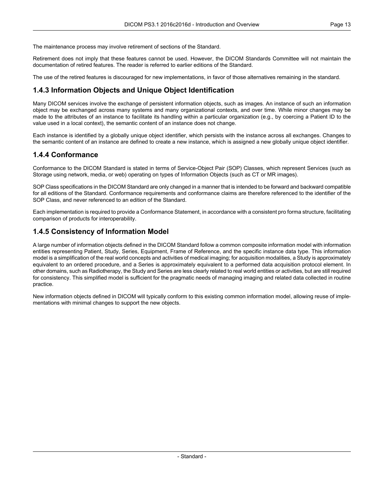The maintenance process may involve retirement of sections of the Standard.

Retirement does not imply that these features cannot be used. However, the DICOM Standards Committee will not maintain the documentation of retired features. The reader is referred to earlier editions of the Standard.

<span id="page-12-0"></span>The use of the retired features is discouraged for new implementations, in favor of those alternatives remaining in the standard.

#### **1.4.3 Information Objects and Unique Object Identification**

Many DICOM services involve the exchange of persistent information objects, such as images. An instance of such an information object may be exchanged across many systems and many organizational contexts, and over time. While minor changes may be made to the attributes of an instance to facilitate its handling within a particular organization (e.g., by coercing a Patient ID to the value used in a local context), the semantic content of an instance does not change.

<span id="page-12-1"></span>Each instance is identified by a globally unique object identifier, which persists with the instance across all exchanges. Changes to the semantic content of an instance are defined to create a new instance, which is assigned a new globally unique object identifier.

#### **1.4.4 Conformance**

Conformance to the DICOM Standard is stated in terms of Service-Object Pair (SOP) Classes, which represent Services (such as Storage using network, media, or web) operating on types of Information Objects (such as CT or MR images).

SOP Class specifications in the DICOM Standard are only changed in a manner that is intended to be forward and backward compatible for all editions of the Standard. Conformance requirements and conformance claims are therefore referenced to the identifier of the SOP Class, and never referenced to an edition of the Standard.

<span id="page-12-2"></span>Each implementation is required to provide a Conformance Statement, in accordance with a consistent pro forma structure, facilitating comparison of products for interoperability.

#### **1.4.5 Consistency of Information Model**

A large number of information objects defined in the DICOM Standard follow a common composite information model with information entities representing Patient, Study, Series, Equipment, Frame of Reference, and the specific instance data type. This information model is a simplification of the real world concepts and activities of medical imaging; for acquisition modalities, a Study is approximately equivalent to an ordered procedure, and a Series is approximately equivalent to a performed data acquisition protocol element. In other domains, such as Radiotherapy, the Study and Series are less clearly related to real world entities or activities, but are still required for consistency. This simplified model is sufficient for the pragmatic needs of managing imaging and related data collected in routine practice.

New information objects defined in DICOM will typically conform to this existing common information model, allowing reuse of implementations with minimal changes to support the new objects.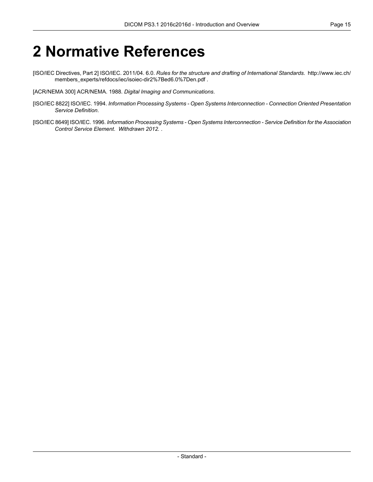## <span id="page-14-0"></span>**2 Normative References**

- <span id="page-14-1"></span>[ISO/IEC Directives, Part 2] ISO/IEC. 2011/04. 6.0. *Rules for the structure and drafting of International Standards*. [http://www.iec.ch/](http://www.iec.ch/members_experts/refdocs/iec/isoiec-dir2%7Bed6.0%7Den.pdf) [members\\_experts/refdocs/iec/isoiec-dir2%7Bed6.0%7Den.pdf](http://www.iec.ch/members_experts/refdocs/iec/isoiec-dir2%7Bed6.0%7Den.pdf) .
- [ACR/NEMA 300] ACR/NEMA. 1988. *Digital Imaging and Communications*.
- [ISO/IEC 8822] ISO/IEC. 1994. *Information Processing Systems - Open Systems Interconnection - Connection Oriented Presentation Service Definition*.
- [ISO/IEC 8649] ISO/IEC. 1996. *Information Processing Systems - Open Systems Interconnection - Service Definition for the Association Control Service Element*. *Withdrawn 2012.* .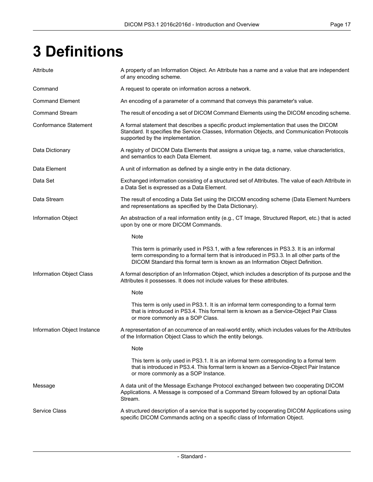# <span id="page-16-0"></span>**3 Definitions**

| Attribute                    | A property of an Information Object. An Attribute has a name and a value that are independent<br>of any encoding scheme.                                                                                                                                               |
|------------------------------|------------------------------------------------------------------------------------------------------------------------------------------------------------------------------------------------------------------------------------------------------------------------|
| Command                      | A request to operate on information across a network.                                                                                                                                                                                                                  |
| <b>Command Element</b>       | An encoding of a parameter of a command that conveys this parameter's value.                                                                                                                                                                                           |
| <b>Command Stream</b>        | The result of encoding a set of DICOM Command Elements using the DICOM encoding scheme.                                                                                                                                                                                |
| <b>Conformance Statement</b> | A formal statement that describes a specific product implementation that uses the DICOM<br>Standard. It specifies the Service Classes, Information Objects, and Communication Protocols<br>supported by the implementation.                                            |
| Data Dictionary              | A registry of DICOM Data Elements that assigns a unique tag, a name, value characteristics,<br>and semantics to each Data Element.                                                                                                                                     |
| Data Element                 | A unit of information as defined by a single entry in the data dictionary.                                                                                                                                                                                             |
| Data Set                     | Exchanged information consisting of a structured set of Attributes. The value of each Attribute in<br>a Data Set is expressed as a Data Element.                                                                                                                       |
| Data Stream                  | The result of encoding a Data Set using the DICOM encoding scheme (Data Element Numbers<br>and representations as specified by the Data Dictionary).                                                                                                                   |
| Information Object           | An abstraction of a real information entity (e.g., CT Image, Structured Report, etc.) that is acted<br>upon by one or more DICOM Commands.                                                                                                                             |
|                              | Note                                                                                                                                                                                                                                                                   |
|                              | This term is primarily used in PS3.1, with a few references in PS3.3. It is an informal<br>term corresponding to a formal term that is introduced in PS3.3. In all other parts of the<br>DICOM Standard this formal term is known as an Information Object Definition. |
| Information Object Class     | A formal description of an Information Object, which includes a description of its purpose and the<br>Attributes it possesses. It does not include values for these attributes.                                                                                        |
|                              | Note                                                                                                                                                                                                                                                                   |
|                              | This term is only used in PS3.1. It is an informal term corresponding to a formal term<br>that is introduced in PS3.4. This formal term is known as a Service-Object Pair Class<br>or more commonly as a SOP Class.                                                    |
| Information Object Instance  | A representation of an occurrence of an real-world entity, which includes values for the Attributes<br>of the Information Object Class to which the entity belongs.                                                                                                    |
|                              | <b>Note</b>                                                                                                                                                                                                                                                            |
|                              | This term is only used in PS3.1. It is an informal term corresponding to a formal term<br>that is introduced in PS3.4. This formal term is known as a Service-Object Pair Instance<br>or more commonly as a SOP Instance.                                              |
| Message                      | A data unit of the Message Exchange Protocol exchanged between two cooperating DICOM<br>Applications. A Message is composed of a Command Stream followed by an optional Data<br>Stream.                                                                                |
| Service Class                | A structured description of a service that is supported by cooperating DICOM Applications using<br>specific DICOM Commands acting on a specific class of Information Object.                                                                                           |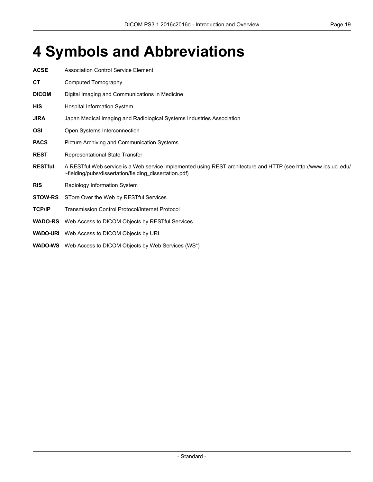# <span id="page-18-0"></span>**4 Symbols and Abbreviations**

| <b>ACSE</b>    | <b>Association Control Service Element</b>                                                                                                                                 |
|----------------|----------------------------------------------------------------------------------------------------------------------------------------------------------------------------|
| СT             | Computed Tomography                                                                                                                                                        |
| <b>DICOM</b>   | Digital Imaging and Communications in Medicine                                                                                                                             |
| <b>HIS</b>     | <b>Hospital Information System</b>                                                                                                                                         |
| <b>JIRA</b>    | Japan Medical Imaging and Radiological Systems Industries Association                                                                                                      |
| <b>OSI</b>     | Open Systems Interconnection                                                                                                                                               |
| <b>PACS</b>    | Picture Archiving and Communication Systems                                                                                                                                |
| <b>REST</b>    | Representational State Transfer                                                                                                                                            |
| <b>RESTful</b> | A RESTful Web service is a Web service implemented using REST architecture and HTTP (see http://www.ics.uci.edu/<br>~fielding/pubs/dissertation/fielding_dissertation.pdf) |
| <b>RIS</b>     | Radiology Information System                                                                                                                                               |
| <b>STOW-RS</b> | STore Over the Web by RESTful Services                                                                                                                                     |
| <b>TCP/IP</b>  | <b>Transmission Control Protocol/Internet Protocol</b>                                                                                                                     |
| <b>WADO-RS</b> | Web Access to DICOM Objects by RESTful Services                                                                                                                            |
|                | <b>WADO-URI</b> Web Access to DICOM Objects by URI                                                                                                                         |
|                | <b>WADO-WS</b> Web Access to DICOM Objects by Web Services (WS*)                                                                                                           |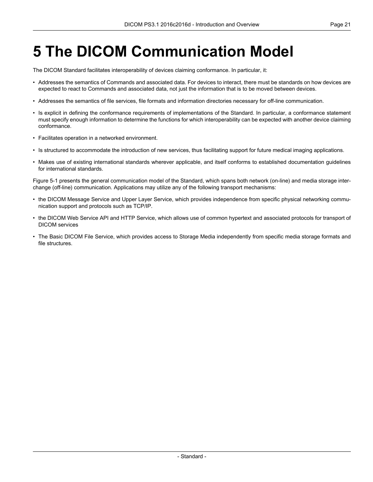# <span id="page-20-0"></span>**5 The DICOM Communication Model**

The DICOM Standard facilitates interoperability of devices claiming conformance. In particular, it:

- Addresses the semantics of Commands and associated data. For devices to interact, there must be standards on how devices are expected to react to Commands and associated data, not just the information that is to be moved between devices.
- Addresses the semantics of file services, file formats and information directories necessary for off-line communication.
- Is explicit in defining the conformance requirements of implementations of the Standard. In particular, a conformance statement must specify enough information to determine the functions for which interoperability can be expected with another device claiming conformance.
- Facilitates operation in a networked environment.
- Is structured to accommodate the introduction of new services, thus facilitating support for future medical imaging applications.
- Makes use of existing international standards wherever applicable, and itself conforms to established documentation guidelines for international standards.

[Figure](#page-21-0) 5-1 presents the general communication model of the Standard, which spans both network (on-line) and media storage interchange (off-line) communication. Applications may utilize any of the following transport mechanisms:

- the DICOM Message Service and Upper Layer Service, which provides independence from specific physical networking communication support and protocols such as TCP/IP.
- the DICOM Web Service API and HTTP Service, which allows use of common hypertext and associated protocols for transport of DICOM services
- The Basic DICOM File Service, which provides access to Storage Media independently from specific media storage formats and file structures.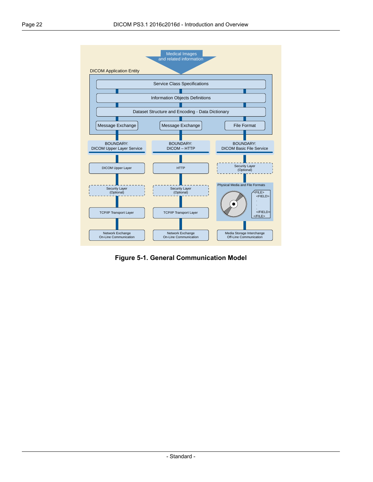<span id="page-21-0"></span>

**Figure 5-1. General Communication Model**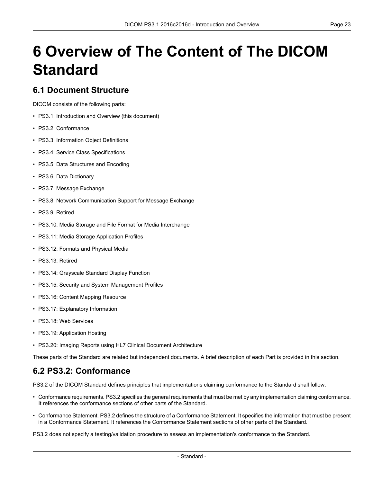# <span id="page-22-0"></span>**6 Overview of The Content of The DICOM Standard**

#### <span id="page-22-1"></span>**6.1 Document Structure**

DICOM consists of the following parts:

- PS3.1: Introduction and Overview (this document)
- PS3.2: [Conformance](part02.pdf#PS3.2)
- PS3.3: [Information](part03.pdf#PS3.3) Object Definitions
- PS3.4: Service Class [Specifications](part04.pdf#PS3.4)
- PS3.5: Data [Structures](part05.pdf#PS3.5) and Encoding
- PS3.6: Data [Dictionary](part06.pdf#PS3.6)
- PS3.7: Message [Exchange](part07.pdf#PS3.7)
- PS3.8: Network [Communication](part08.pdf#PS3.8) Support for Message Exchange
- PS3.9: Retired
- PS3.10: Media Storage and File Format for Media [Interchange](part10.pdf#PS3.10)
- PS3.11: Media Storage [Application](part11.pdf#PS3.11) Profiles
- PS3.12: Formats and [Physical](part12.pdf#PS3.12) Media
- PS3.13: Retired
- PS3.14: [Grayscale](part14.pdf#PS3.14) Standard Display Function
- PS3.15: Security and System [Management](part15.pdf#PS3.15) Profiles
- PS3.16: Content Mapping [Resource](part16.pdf#PS3.16)
- PS3.17: [Explanatory](part17.pdf#PS3.17) Information
- PS3.18: Web [Services](part18.pdf#PS3.18)
- <span id="page-22-2"></span>• PS3.19: [Application](part19.pdf#PS3.19) Hosting
- PS3.20: Imaging Reports using HL7 Clinical Document [Architecture](part20.pdf#PS3.20)

These parts of the Standard are related but independent documents. A brief description of each Part is provided in this section.

### **6.2 PS3.2: Conformance**

[PS3.2](part02.pdf#PS3.2) of the DICOM Standard defines principles that implementations claiming conformance to the Standard shall follow:

- Conformance requirements. [PS3.2](part02.pdf#PS3.2) specifies the general requirements that must be met by any implementation claiming conformance. It references the conformance sections of other parts of the Standard.
- Conformance Statement. [PS3.2](part02.pdf#PS3.2) defines the structure of a Conformance Statement. It specifies the information that must be present in a Conformance Statement. It references the Conformance Statement sections of other parts of the Standard.

[PS3.2](part02.pdf#PS3.2) does not specify a testing/validation procedure to assess an implementation's conformance to the Standard.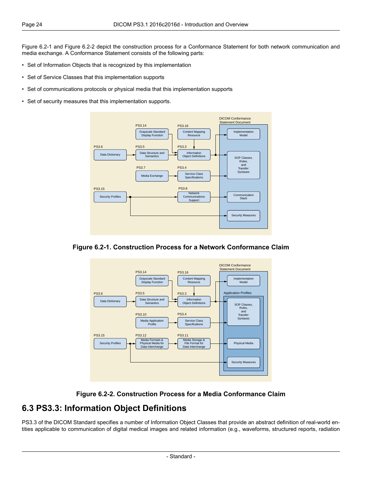[Figure](#page-23-1) 6.2-1 and [Figure](#page-23-2) 6.2-2 depict the construction process for a Conformance Statement for both network communication and media exchange. A Conformance Statement consists of the following parts:

- Set of Information Objects that is recognized by this implementation
- Set of Service Classes that this implementation supports
- Set of communications protocols or physical media that this implementation supports
- <span id="page-23-1"></span>• Set of security measures that this implementation supports.



<span id="page-23-2"></span>





#### <span id="page-23-0"></span>**6.3 PS3.3: Information Object Definitions**

[PS3.3](part03.pdf#PS3.3) of the DICOM Standard specifies a number of Information Object Classes that provide an abstract definition of real-world entities applicable to communication of digital medical images and related information (e.g., waveforms, structured reports, radiation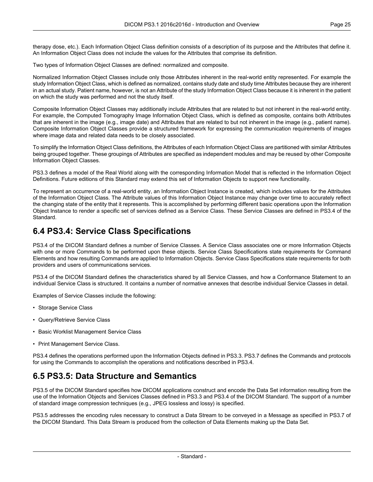therapy dose, etc.). Each Information Object Class definition consists of a description of its purpose and the Attributes that define it. An Information Object Class does not include the values for the Attributes that comprise its definition.

Two types of Information Object Classes are defined: normalized and composite.

Normalized Information Object Classes include only those Attributes inherent in the real-world entity represented. For example the study Information Object Class, which is defined as normalized, contains study date and study time Attributes because they are inherent in an actual study. Patient name, however, is not an Attribute of the study Information Object Class because it is inherent in the patient on which the study was performed and not the study itself.

Composite Information Object Classes may additionally include Attributes that are related to but not inherent in the real-world entity. For example, the Computed Tomography Image Information Object Class, which is defined as composite, contains both Attributes that are inherent in the image (e.g., image date) and Attributes that are related to but not inherent in the image (e.g., patient name). Composite Information Object Classes provide a structured framework for expressing the communication requirements of images where image data and related data needs to be closely associated.

To simplify the Information Object Class definitions, the Attributes of each Information Object Class are partitioned with similar Attributes being grouped together. These groupings of Attributes are specified as independent modules and may be reused by other Composite Information Object Classes.

[PS3.3](part03.pdf#PS3.3) defines a model of the Real World along with the corresponding Information Model that is reflected in the Information Object Definitions. Future editions of this Standard may extend this set of Information Objects to support new functionality.

<span id="page-24-0"></span>To represent an occurrence of a real-world entity, an Information Object Instance is created, which includes values for the Attributes of the Information Object Class. The Attribute values of this Information Object Instance may change over time to accurately reflect the changing state of the entity that it represents. This is accomplished by performing different basic operations upon the Information Object Instance to render a specific set of services defined as a Service Class. These Service Classes are defined in [PS3.4](part04.pdf#PS3.4) of the Standard.

#### **6.4 PS3.4: Service Class Specifications**

[PS3.4](part04.pdf#PS3.4) of the DICOM Standard defines a number of Service Classes. A Service Class associates one or more Information Objects with one or more Commands to be performed upon these objects. Service Class Specifications state requirements for Command Elements and how resulting Commands are applied to Information Objects. Service Class Specifications state requirements for both providers and users of communications services.

[PS3.4](part04.pdf#PS3.4) of the DICOM Standard defines the characteristics shared by all Service Classes, and how a Conformance Statement to an individual Service Class is structured. It contains a number of normative annexes that describe individual Service Classes in detail.

Examples of Service Classes include the following:

- Storage Service Class
- Query/Retrieve Service Class
- <span id="page-24-1"></span>• Basic Worklist Management Service Class
- Print Management Service Class.

[PS3.4](part04.pdf#PS3.4) defines the operations performed upon the Information Objects defined in [PS3.3.](part03.pdf#PS3.3) [PS3.7](part07.pdf#PS3.7) defines the Commands and protocols for using the Commands to accomplish the operations and notifications described in [PS3.4](part04.pdf#PS3.4).

### **6.5 PS3.5: Data Structure and Semantics**

[PS3.5](part05.pdf#PS3.5) of the DICOM Standard specifies how DICOM applications construct and encode the Data Set information resulting from the use of the Information Objects and Services Classes defined in [PS3.3](part03.pdf#PS3.3) and [PS3.4](part04.pdf#PS3.4) of the DICOM Standard. The support of a number of standard image compression techniques (e.g., JPEG lossless and lossy) is specified.

[PS3.5](part05.pdf#PS3.5) addresses the encoding rules necessary to construct a Data Stream to be conveyed in a Message as specified in [PS3.7](part07.pdf#PS3.7) of the DICOM Standard. This Data Stream is produced from the collection of Data Elements making up the Data Set.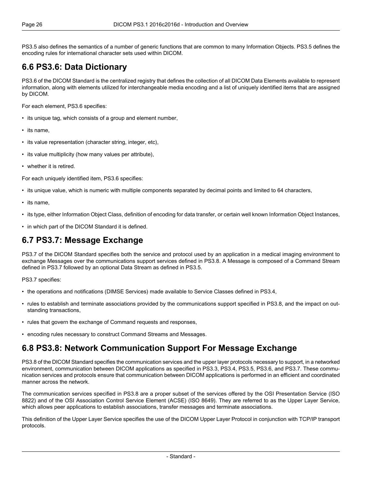<span id="page-25-0"></span>[PS3.5](part05.pdf#PS3.5) also defines the semantics of a number of generic functions that are common to many Information Objects. [PS3.5](part05.pdf#PS3.5) defines the encoding rules for international character sets used within DICOM.

### **6.6 PS3.6: Data Dictionary**

[PS3.6](part06.pdf#PS3.6) of the DICOM Standard is the centralized registry that defines the collection of all DICOM Data Elements available to represent information, along with elements utilized for interchangeable media encoding and a list of uniquely identified items that are assigned by DICOM.

For each element, [PS3.6](part06.pdf#PS3.6) specifies:

- its unique tag, which consists of a group and element number,
- its name,
- its value representation (character string, integer, etc),
- its value multiplicity (how many values per attribute),
- whether it is retired.

For each uniquely identified item, [PS3.6](part06.pdf#PS3.6) specifies:

- its unique value, which is numeric with multiple components separated by decimal points and limited to 64 characters,
- its name,
- <span id="page-25-1"></span>• its type, either Information Object Class, definition of encoding for data transfer, or certain well known Information Object Instances,
- in which part of the DICOM Standard it is defined.

#### **6.7 PS3.7: Message Exchange**

[PS3.7](part07.pdf#PS3.7) of the DICOM Standard specifies both the service and protocol used by an application in a medical imaging environment to exchange Messages over the communications support services defined in [PS3.8.](part08.pdf#PS3.8) A Message is composed of a Command Stream defined in [PS3.7](part07.pdf#PS3.7) followed by an optional Data Stream as defined in [PS3.5](part05.pdf#PS3.5).

[PS3.7](part07.pdf#PS3.7) specifies:

- the operations and notifications (DIMSE Services) made available to Service Classes defined in [PS3.4,](part04.pdf#PS3.4)
- <span id="page-25-2"></span>• rules to establish and terminate associations provided by the communications support specified in [PS3.8,](part08.pdf#PS3.8) and the impact on outstanding transactions,
- rules that govern the exchange of Command requests and responses,
- encoding rules necessary to construct Command Streams and Messages.

### **6.8 PS3.8: Network Communication Support For Message Exchange**

[PS3.8](part08.pdf#PS3.8) of the DICOM Standard specifies the communication services and the upper layer protocols necessary to support, in a networked environment, communication between DICOM applications as specified in [PS3.3](part03.pdf#PS3.3), [PS3.4,](part04.pdf#PS3.4) [PS3.5](part05.pdf#PS3.5), [PS3.6,](part06.pdf#PS3.6) and [PS3.7.](part07.pdf#PS3.7) These communication services and protocols ensure that communication between DICOM applications is performed in an efficient and coordinated manner across the network.

The communication services specified in [PS3.8](part08.pdf#PS3.8) are a proper subset of the services offered by the OSI Presentation Service (ISO 8822) and of the OSI Association Control Service Element (ACSE) (ISO 8649). They are referred to as the Upper Layer Service, which allows peer applications to establish associations, transfer messages and terminate associations.

This definition of the Upper Layer Service specifies the use of the DICOM Upper Layer Protocol in conjunction with TCP/IP transport protocols.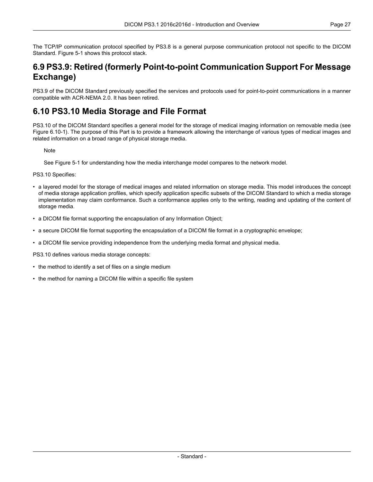<span id="page-26-0"></span>The TCP/IP communication protocol specified by [PS3.8](part08.pdf#PS3.8) is a general purpose communication protocol not specific to the DICOM Standard. [Figure](#page-21-0) 5-1 shows this protocol stack.

#### **6.9 PS3.9: Retired (formerly Point-to-point Communication Support For Message Exchange)**

<span id="page-26-1"></span>PS3.9 of the DICOM Standard previously specified the services and protocols used for point-to-point communications in a manner compatible with ACR-NEMA 2.0. It has been retired.

#### **6.10 PS3.10 Media Storage and File Format**

[PS3.10](part10.pdf#PS3.10) of the DICOM Standard specifies a general model for the storage of medical imaging information on removable media (see Figure [6.10-1\)](#page-27-1). The purpose of this Part is to provide a framework allowing the interchange of various types of medical images and related information on a broad range of physical storage media.

**Note** 

See [Figure](#page-21-0) 5-1 for understanding how the media interchange model compares to the network model.

[PS3.10](part10.pdf#PS3.10) Specifies:

- a layered model for the storage of medical images and related information on storage media. This model introduces the concept of media storage application profiles, which specify application specific subsets of the DICOM Standard to which a media storage implementation may claim conformance. Such a conformance applies only to the writing, reading and updating of the content of storage media.
- a DICOM file format supporting the encapsulation of any Information Object;
- a secure DICOM file format supporting the encapsulation of a DICOM file format in a cryptographic envelope;
- a DICOM file service providing independence from the underlying media format and physical media.

[PS3.10](part10.pdf#PS3.10) defines various media storage concepts:

- the method to identify a set of files on a single medium
- the method for naming a DICOM file within a specific file system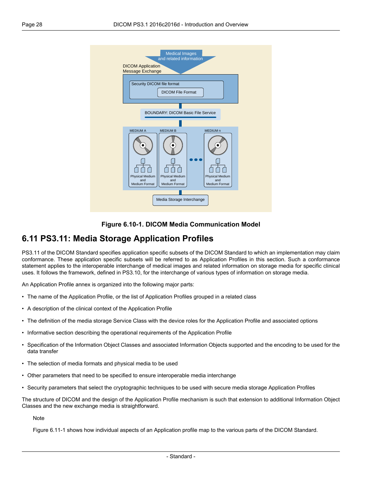<span id="page-27-1"></span>

**Figure 6.10-1. DICOM Media Communication Model**

### <span id="page-27-0"></span>**6.11 PS3.11: Media Storage Application Profiles**

[PS3.11](part11.pdf#PS3.11) of the DICOM Standard specifies application specific subsets of the DICOM Standard to which an implementation may claim conformance. These application specific subsets will be referred to as Application Profiles in this section. Such a conformance statement applies to the interoperable interchange of medical images and related information on storage media for specific clinical uses. It follows the framework, defined in [PS3.10](part10.pdf#PS3.10), for the interchange of various types of information on storage media.

An Application Profile annex is organized into the following major parts:

- The name of the Application Profile, or the list of Application Profiles grouped in a related class
- A description of the clinical context of the Application Profile
- The definition of the media storage Service Class with the device roles for the Application Profile and associated options
- Informative section describing the operational requirements of the Application Profile
- Specification of the Information Object Classes and associated Information Objects supported and the encoding to be used for the data transfer
- The selection of media formats and physical media to be used
- Other parameters that need to be specified to ensure interoperable media interchange
- Security parameters that select the cryptographic techniques to be used with secure media storage Application Profiles

The structure of DICOM and the design of the Application Profile mechanism is such that extension to additional Information Object Classes and the new exchange media is straightforward.

**Note** 

[Figure](#page-28-4) 6.11-1 shows how individual aspects of an Application profile map to the various parts of the DICOM Standard.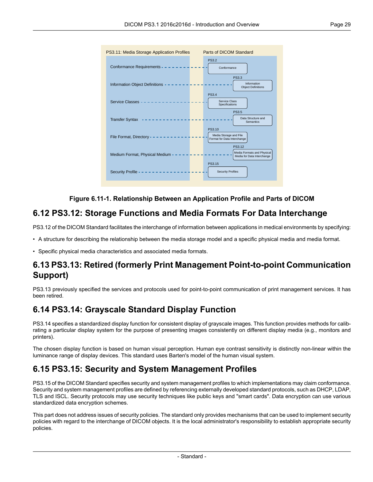<span id="page-28-4"></span>

#### **Figure 6.11-1. Relationship Between an Application Profile and Parts of DICOM**

#### <span id="page-28-0"></span>**6.12 PS3.12: Storage Functions and Media Formats For Data Interchange**

[PS3.12](part12.pdf#PS3.12) of the DICOM Standard facilitates the interchange of information between applications in medical environments by specifying:

<span id="page-28-1"></span>• A structure for describing the relationship between the media storage model and a specific physical media and media format.

• Specific physical media characteristics and associated media formats.

#### <span id="page-28-2"></span>**6.13 PS3.13: Retired (formerly Print Management Point-to-point Communication Support)**

PS3.13 previously specified the services and protocols used for point-to-point communication of print management services. It has been retired.

#### **6.14 PS3.14: Grayscale Standard Display Function**

<span id="page-28-3"></span>[PS3.14](part14.pdf#PS3.14) specifies a standardized display function for consistent display of grayscale images. This function provides methods for calibrating a particular display system for the purpose of presenting images consistently on different display media (e.g., monitors and printers).

The chosen display function is based on human visual perception. Human eye contrast sensitivity is distinctly non-linear within the luminance range of display devices. This standard uses Barten's model of the human visual system.

### **6.15 PS3.15: Security and System Management Profiles**

[PS3.15](part15.pdf#PS3.15) of the DICOM Standard specifies security and system management profiles to which implementations may claim conformance. Security and system management profiles are defined by referencing externally developed standard protocols, such as DHCP, LDAP, TLS and ISCL. Security protocols may use security techniques like public keys and "smart cards". Data encryption can use various standardized data encryption schemes.

This part does not address issues of security policies. The standard only provides mechanisms that can be used to implement security policies with regard to the interchange of DICOM objects. It is the local administrator's responsibility to establish appropriate security policies.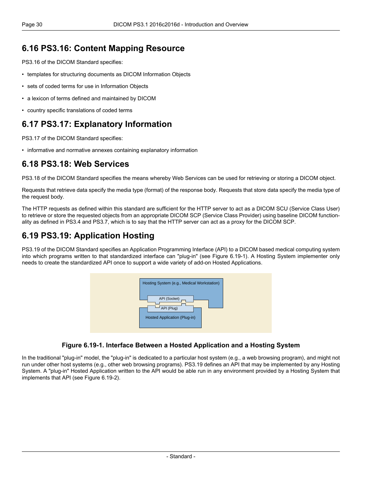#### <span id="page-29-0"></span>**6.16 PS3.16: Content Mapping Resource**

[PS3.16](part16.pdf#PS3.16) of the DICOM Standard specifies:

- templates for structuring documents as DICOM Information Objects
- sets of coded terms for use in Information Objects
- a lexicon of terms defined and maintained by DICOM
- <span id="page-29-1"></span>• country specific translations of coded terms

#### **6.17 PS3.17: Explanatory Information**

<span id="page-29-2"></span>[PS3.17](part17.pdf#PS3.17) of the DICOM Standard specifies:

• informative and normative annexes containing explanatory information

#### **6.18 PS3.18: Web Services**

[PS3.18](part18.pdf#PS3.18) of the DICOM Standard specifies the means whereby Web Services can be used for retrieving or storing a DICOM object.

Requests that retrieve data specify the media type (format) of the response body. Requests that store data specify the media type of the request body.

<span id="page-29-3"></span>The HTTP requests as defined within this standard are sufficient for the HTTP server to act as a DICOM SCU (Service Class User) to retrieve or store the requested objects from an appropriate DICOM SCP (Service Class Provider) using baseline DICOM functionality as defined in [PS3.4](part04.pdf#PS3.4) and [PS3.7,](part07.pdf#PS3.7) which is to say that the HTTP server can act as a proxy for the DICOM SCP.

### **6.19 PS3.19: Application Hosting**

<span id="page-29-4"></span>[PS3.19](part19.pdf#PS3.19) of the DICOM Standard specifies an Application Programming Interface (API) to a DICOM based medical computing system into which programs written to that standardized interface can "plug-in" (see [Figure](#page-29-4) 6.19-1). A Hosting System implementer only needs to create the standardized API once to support a wide variety of add-on Hosted Applications.



#### **Figure 6.19-1. Interface Between a Hosted Application and a Hosting System**

In the traditional "plug-in" model, the "plug-in" is dedicated to a particular host system (e.g., a web browsing program), and might not run under other host systems (e.g., other web browsing programs). [PS3.19](part19.pdf#PS3.19) defines an API that may be implemented by any Hosting System. A "plug-in" Hosted Application written to the API would be able run in any environment provided by a Hosting System that implements that API (see [Figure](#page-30-1) 6.19-2).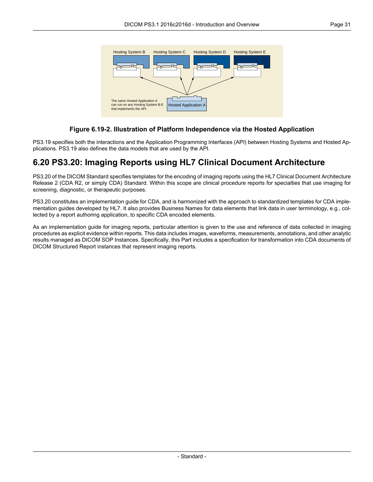<span id="page-30-1"></span>

#### **Figure 6.19-2. Illustration of Platform Independence via the Hosted Application**

<span id="page-30-0"></span>[PS3.19](part19.pdf#PS3.19) specifies both the interactions and the Application Programming Interfaces (API) between Hosting Systems and Hosted Applications. [PS3.19](part19.pdf#PS3.19) also defines the data models that are used by the API.

#### **6.20 PS3.20: Imaging Reports using HL7 Clinical Document Architecture**

[PS3.20](part20.pdf#PS3.20) of the DICOM Standard specifies templates for the encoding of imaging reports using the HL7 Clinical Document Architecture Release 2 (CDA R2, or simply CDA) Standard. Within this scope are clinical procedure reports for specialties that use imaging for screening, diagnostic, or therapeutic purposes.

[PS3.20](part20.pdf#PS3.20) constitutes an implementation guide for CDA, and is harmonized with the approach to standardized templates for CDA implementation guides developed by HL7. It also provides Business Names for data elements that link data in user terminology, e.g., collected by a report authoring application, to specific CDA encoded elements.

As an implementation guide for imaging reports, particular attention is given to the use and reference of data collected in imaging procedures as explicit evidence within reports. This data includes images, waveforms, measurements, annotations, and other analytic results managed as DICOM SOP Instances. Specifically, this Part includes a specification for transformation into CDA documents of DICOM Structured Report instances that represent imaging reports.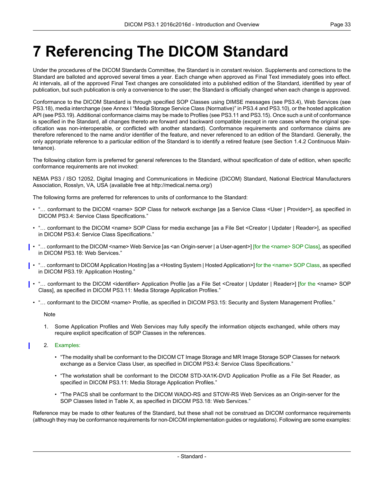# <span id="page-32-0"></span>**7 Referencing The DICOM Standard**

Under the procedures of the DICOM Standards Committee, the Standard is in constant revision. Supplements and corrections to the Standard are balloted and approved several times a year. Each change when approved as Final Text immediately goes into effect. At intervals, all of the approved Final Text changes are consolidated into a published edition of the Standard, identified by year of publication, but such publication is only a convenience to the user; the Standard is officially changed when each change is approved.

Conformance to the DICOM Standard is through specified SOP Classes using DIMSE messages (see [PS3.4](part04.pdf#PS3.4)), Web Services (see [PS3.18](part18.pdf#PS3.18)), media interchange (see Annex I "Media Storage Service Class [\(Normative\)"](part04.pdf#chapter_I) in PS3.4 and [PS3.10\)](part10.pdf#PS3.10), or the hosted application API (see [PS3.19\)](part19.pdf#PS3.19). Additional conformance claims may be made to Profiles (see [PS3.11](part11.pdf#PS3.11) and [PS3.15](part15.pdf#PS3.15)). Once such a unit of conformance is specified in the Standard, all changes thereto are forward and backward compatible (except in rare cases where the original specification was non-interoperable, or conflicted with another standard). Conformance requirements and conformance claims are therefore referenced to the name and/or identifier of the feature, and never referenced to an edition of the Standard. Generally, the only appropriate reference to a particular edition of the Standard is to identify a retired feature (see Section 1.4.2 [Continuous](#page-11-2) Main[tenance](#page-11-2)).

The following citation form is preferred for general references to the Standard, without specification of date of edition, when specific conformance requirements are not invoked:

NEMA PS3 / ISO 12052, Digital Imaging and Communications in Medicine (DICOM) Standard, National Electrical Manufacturers Association, Rosslyn, VA, USA (available free at <http://medical.nema.org/>)

The following forms are preferred for references to units of conformance to the Standard:

- "… conformant to the DICOM <name> SOP Class for network exchange [as a Service Class <User | Provider>], as specified in DICOM [PS3.4:](part04.pdf#PS3.4) Service Class Specifications."
- "… conformant to the DICOM <name> SOP Class for media exchange [as a File Set <Creator | Updater | Reader>], as specified in DICOM [PS3.4](part04.pdf#PS3.4): Service Class Specifications."
- "… conformant to the DICOM <name> Web Service [as <an Origin-server | a User-agent>] [for the <name> SOP Class], as specified in DICOM [PS3.18](part18.pdf#PS3.18): Web Services."
- "… conformant to DICOM Application Hosting [as a <Hosting System | Hosted Application>] for the <name> SOP Class, as specified in DICOM [PS3.19](part19.pdf#PS3.19): Application Hosting."
- "… conformant to the DICOM <identifier> Application Profile [as a File Set <Creator | Updater | Reader>] [for the <name> SOP Class], as specified in DICOM [PS3.11](part11.pdf#PS3.11): Media Storage Application Profiles."
	- "… conformant to the DICOM <name> Profile, as specified in DICOM [PS3.15:](part15.pdf#PS3.15) Security and System Management Profiles."

Note

- 1. Some Application Profiles and Web Services may fully specify the information objects exchanged, while others may require explicit specification of SOP Classes in the references.
- 2. Examples:
	- "The modality shall be conformant to the DICOM CT Image Storage and MR Image Storage SOP Classes for network exchange as a Service Class User, as specified in DICOM [PS3.4:](part04.pdf#PS3.4) Service Class Specifications."
	- "The workstation shall be conformant to the DICOM STD-XA1K-DVD Application Profile as a File Set Reader, as specified in DICOM [PS3.11](part11.pdf#PS3.11): Media Storage Application Profiles."
	- "The PACS shall be conformant to the DICOM WADO-RS and STOW-RS Web Services as an Origin-server for the SOP Classes listed in Table X, as specified in DICOM [PS3.18](part18.pdf#PS3.18): Web Services."

Reference may be made to other features of the Standard, but these shall not be construed as DICOM conformance requirements (although they may be conformance requirements for non-DICOM implementation guides or regulations). Following are some examples: